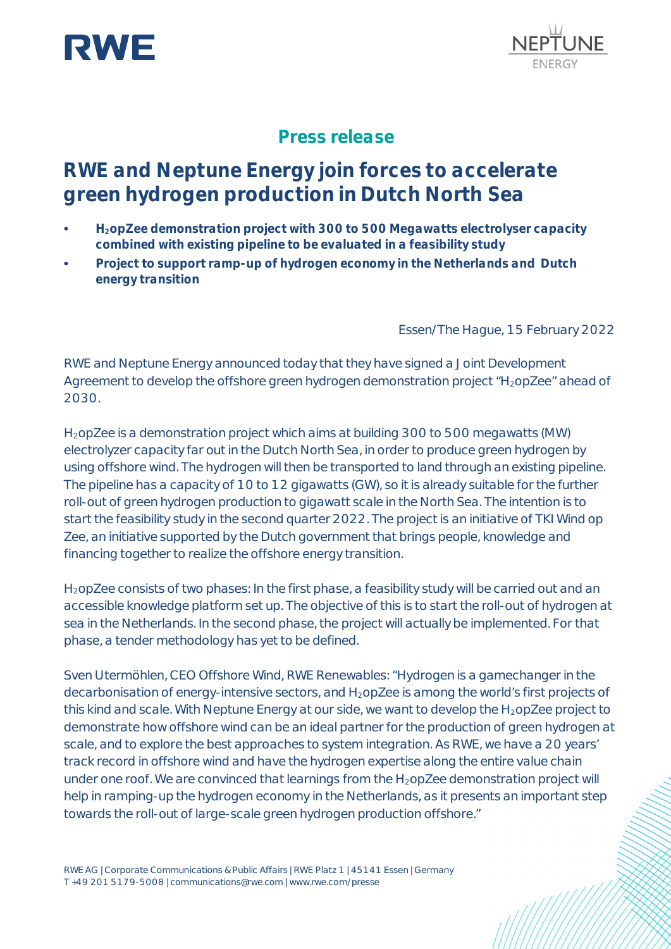



## **Press release**

# **RWE and Neptune Energy join forces to accelerate green hydrogen production in Dutch North Sea**

- **• H2opZee demonstration project with 300 to 500 Megawatts electrolyser capacity combined with existing pipeline to be evaluated in a feasibility study**
- **• Project to support ramp-up of hydrogen economy in the Netherlands and Dutch energy transition**

Essen/The Hague, 15 February 2022

RWE and Neptune Energy announced today that they have signed a Joint Development Agreement to develop the offshore green hydrogen demonstration project "H<sub>2</sub>opZee" ahead of 2030.

H2opZee is a demonstration project which aims at building 300 to 500 megawatts (MW) electrolyzer capacity far out in the Dutch North Sea, in order to produce green hydrogen by using offshore wind. The hydrogen will then be transported to land through an existing pipeline. The pipeline has a capacity of 10 to 12 gigawatts (GW), so it is already suitable for the further roll-out of green hydrogen production to gigawatt scale in the North Sea. The intention is to start the feasibility study in the second quarter 2022. The project is an initiative of TKI Wind op Zee, an initiative supported by the Dutch government that brings people, knowledge and financing together to realize the offshore energy transition.

H<sub>2</sub>opZee consists of two phases: In the first phase, a feasibility study will be carried out and an accessible knowledge platform set up. The objective of this is to start the roll-out of hydrogen at sea in the Netherlands. In the second phase, the project will actually be implemented. For that phase, a tender methodology has yet to be defined.

Sven Utermöhlen, CEO Offshore Wind, RWE Renewables: "Hydrogen is a gamechanger in the decarbonisation of energy-intensive sectors, and H<sub>2</sub>opZee is among the world's first projects of this kind and scale. With Neptune Energy at our side, we want to develop the  $H_2$ opZee project to demonstrate how offshore wind can be an ideal partner for the production of green hydrogen at scale, and to explore the best approaches to system integration. As RWE, we have a 20 years' track record in offshore wind and have the hydrogen expertise along the entire value chain under one roof. We are convinced that learnings from the H<sub>2</sub>opZee demonstration project will help in ramping-up the hydrogen economy in the Netherlands, as it presents an important step towards the roll-out of large-scale green hydrogen production offshore."

RWE AG | Corporate Communications & Public Affairs | RWE Platz 1 | 45141 Essen | Germany T +49 201 5179-5008 | communications@rwe.com | www.rwe.com/presse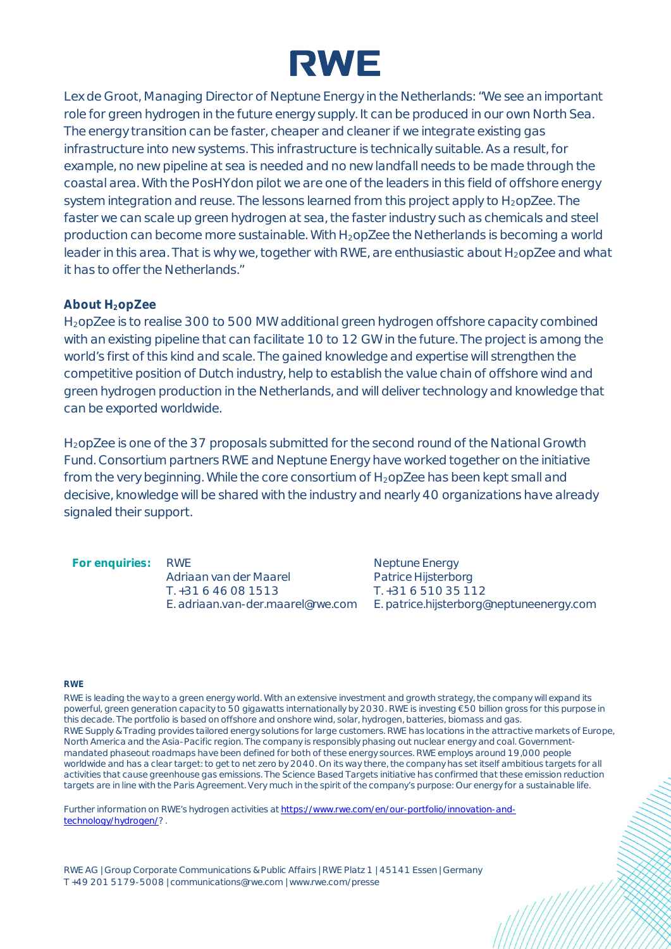

Lex de Groot, Managing Director of Neptune Energy in the Netherlands: "We see an important role for green hydrogen in the future energy supply. It can be produced in our own North Sea. The energy transition can be faster, cheaper and cleaner if we integrate existing gas infrastructure into new systems. This infrastructure is technically suitable. As a result, for example, no new pipeline at sea is needed and no new landfall needs to be made through the coastal area. With the PosHYdon pilot we are one of the leaders in this field of offshore energy system integration and reuse. The lessons learned from this project apply to  $H_2$ opZee. The faster we can scale up green hydrogen at sea, the faster industry such as chemicals and steel production can become more sustainable. With  $H_2$ opZee the Netherlands is becoming a world leader in this area. That is why we, together with RWE, are enthusiastic about H<sub>2</sub>opZee and what it has to offer the Netherlands."

### **About H2opZee**

H2opZee is to realise 300 to 500 MW additional green hydrogen offshore capacity combined with an existing pipeline that can facilitate 10 to 12 GW in the future. The project is among the world's first of this kind and scale. The gained knowledge and expertise will strengthen the competitive position of Dutch industry, help to establish the value chain of offshore wind and green hydrogen production in the Netherlands, and will deliver technology and knowledge that can be exported worldwide.

H<sub>2</sub>opZee is one of the 37 proposals submitted for the second round of the National Growth Fund. Consortium partners RWE and Neptune Energy have worked together on the initiative from the very beginning. While the core consortium of H<sub>2</sub>opZee has been kept small and decisive, knowledge will be shared with the industry and nearly 40 organizations have already signaled their support.

**For enquiries:** RWE

Adriaan van der Maarel T. +31 6 46 08 1513 E. adriaan.van-der.maarel@rwe.com Neptune Energy Patrice Hijsterborg T. +31 6 510 35 112 E. patrice.hijsterborg@neptuneenergy.com

#### **RWE**

RWE is leading the way to a green energy world. With an extensive investment and growth strategy, the company will expand its powerful, green generation capacity to 50 gigawatts internationally by 2030. RWE is investing €50 billion gross for this purpose in this decade. The portfolio is based on offshore and onshore wind, solar, hydrogen, batteries, biomass and gas. RWE Supply & Trading provides tailored energy solutions for large customers. RWE has locations in the attractive markets of Europe, North America and the Asia-Pacific region. The company is responsibly phasing out nuclear energy and coal. Governmentmandated phaseout roadmaps have been defined for both of these energy sources. RWE employs around 19,000 people worldwide and has a clear target: to get to net zero by 2040. On its way there, the company has set itself ambitious targets for all activities that cause greenhouse gas emissions. The Science Based Targets initiative has confirmed that these emission reduction targets are in line with the Paris Agreement. Very much in the spirit of the company's purpose: Our energy for a sustainable life.

Further information on RWE's hydrogen activities at [https://www.rwe.com/en/our-portfolio/innovation-and](https://www.rwe.com/en/our-portfolio/innovation-and-technology/hydrogen/)[technology/hydrogen/?](https://www.rwe.com/en/our-portfolio/innovation-and-technology/hydrogen/) .

RWE AG | Group Corporate Communications & Public Affairs | RWE Platz 1 | 45141 Essen | Germany T +49 201 5179-5008 | communications@rwe.com | www.rwe.com/presse